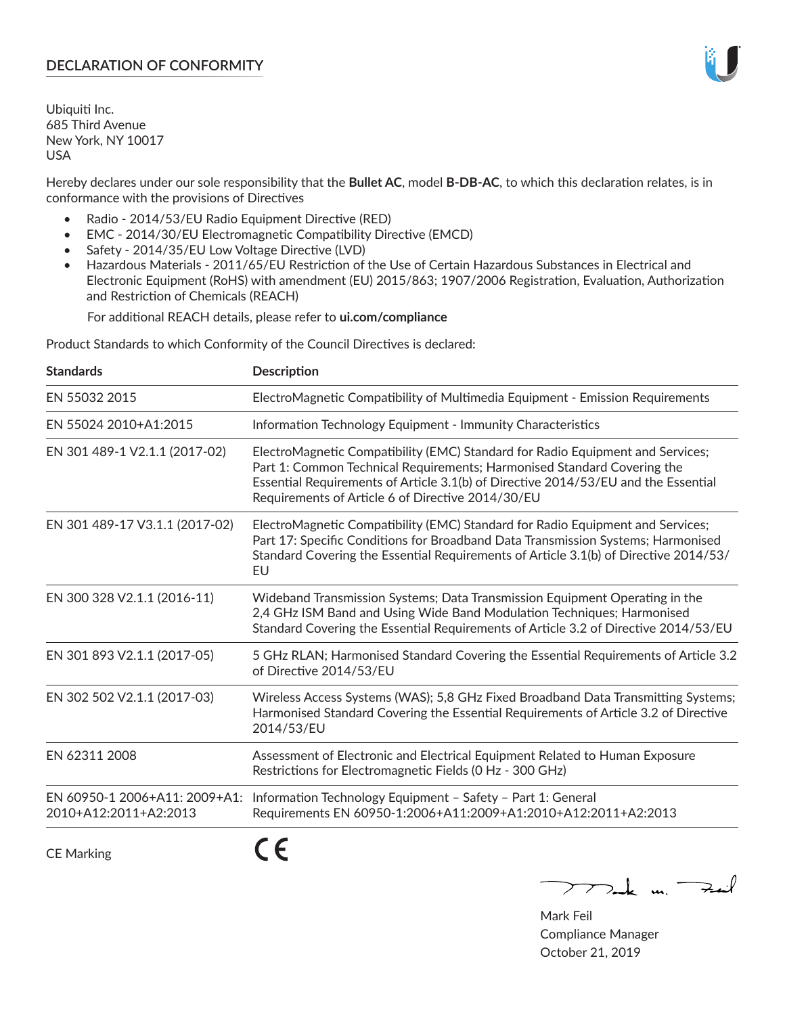# **DECLARATION OF CONFORMITY**

Ubiquiti Inc. 685 Third Avenue New York, NY 10017 USA

Hereby declares under our sole responsibility that the **Bullet AC**, model **B-DB-AC**, to which this declaration relates, is in conformance with the provisions of Directives

- Radio 2014/53/EU Radio Equipment Directive (RED)
- EMC 2014/30/EU Electromagnetic Compatibility Directive (EMCD)
- Safety 2014/35/EU Low Voltage Directive (LVD)
- Hazardous Materials 2011/65/EU Restriction of the Use of Certain Hazardous Substances in Electrical and Electronic Equipment (RoHS) with amendment (EU) 2015/863; 1907/2006 Registration, Evaluation, Authorization and Restriction of Chemicals (REACH)

For additional REACH details, please refer to **ui.com/compliance**

Product Standards to which Conformity of the Council Directives is declared:

| <b>Standards</b>                                       | <b>Description</b>                                                                                                                                                                                                                                                                                   |
|--------------------------------------------------------|------------------------------------------------------------------------------------------------------------------------------------------------------------------------------------------------------------------------------------------------------------------------------------------------------|
| EN 55032 2015                                          | ElectroMagnetic Compatibility of Multimedia Equipment - Emission Requirements                                                                                                                                                                                                                        |
| EN 55024 2010+A1:2015                                  | Information Technology Equipment - Immunity Characteristics                                                                                                                                                                                                                                          |
| EN 301 489-1 V2.1.1 (2017-02)                          | ElectroMagnetic Compatibility (EMC) Standard for Radio Equipment and Services;<br>Part 1: Common Technical Requirements; Harmonised Standard Covering the<br>Essential Requirements of Article 3.1(b) of Directive 2014/53/EU and the Essential<br>Requirements of Article 6 of Directive 2014/30/EU |
| EN 301 489-17 V3.1.1 (2017-02)                         | ElectroMagnetic Compatibility (EMC) Standard for Radio Equipment and Services;<br>Part 17: Specific Conditions for Broadband Data Transmission Systems; Harmonised<br>Standard Covering the Essential Requirements of Article 3.1(b) of Directive 2014/53/<br>EU                                     |
| EN 300 328 V2.1.1 (2016-11)                            | Wideband Transmission Systems; Data Transmission Equipment Operating in the<br>2,4 GHz ISM Band and Using Wide Band Modulation Techniques; Harmonised<br>Standard Covering the Essential Requirements of Article 3.2 of Directive 2014/53/EU                                                         |
| EN 301 893 V2.1.1 (2017-05)                            | 5 GHz RLAN; Harmonised Standard Covering the Essential Requirements of Article 3.2<br>of Directive 2014/53/EU                                                                                                                                                                                        |
| EN 302 502 V2.1.1 (2017-03)                            | Wireless Access Systems (WAS); 5,8 GHz Fixed Broadband Data Transmitting Systems;<br>Harmonised Standard Covering the Essential Requirements of Article 3.2 of Directive<br>2014/53/EU                                                                                                               |
| EN 62311 2008                                          | Assessment of Electronic and Electrical Equipment Related to Human Exposure<br>Restrictions for Electromagnetic Fields (0 Hz - 300 GHz)                                                                                                                                                              |
| EN 60950-1 2006+A11: 2009+A1:<br>2010+A12:2011+A2:2013 | Information Technology Equipment - Safety - Part 1: General<br>Requirements EN 60950-1:2006+A11:2009+A1:2010+A12:2011+A2:2013                                                                                                                                                                        |
|                                                        | - -                                                                                                                                                                                                                                                                                                  |

CE Marking

CE

 $\nabla$  and  $\nabla$  and  $\nabla$ 

Mark Feil Compliance Manager October 21, 2019

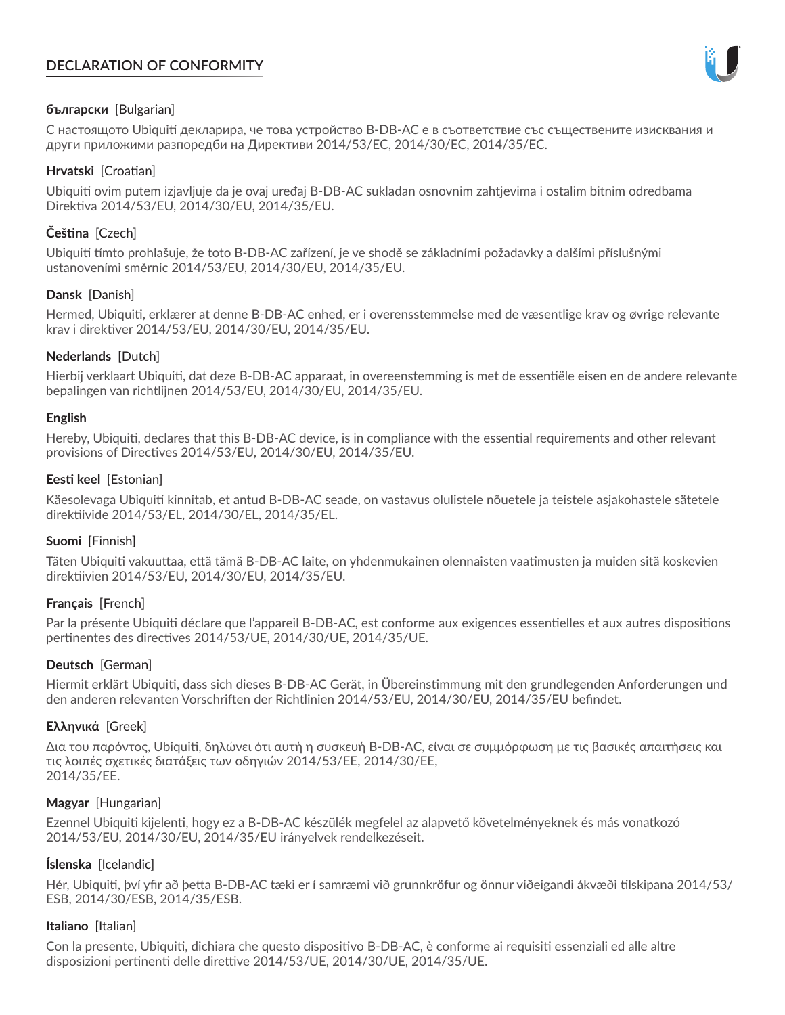# **DECLARATION OF CONFORMITY**



## **български** [Bulgarian]

С настоящото Ubiquiti декларира, че това устройство B-DB-AC е в съответствие със съществените изисквания и други приложими разпоредби на Директиви 2014/53/EC, 2014/30/ЕС, 2014/35/ЕС.

## **Hrvatski** [Croatian]

Ubiquiti ovim putem izjavljuje da je ovaj uređaj B-DB-AC sukladan osnovnim zahtjevima i ostalim bitnim odredbama Direktiva 2014/53/EU, 2014/30/EU, 2014/35/EU.

# **Čeština** [Czech]

Ubiquiti tímto prohlašuje, že toto B-DB-AC zařízení, je ve shodě se základními požadavky a dalšími příslušnými ustanoveními směrnic 2014/53/EU, 2014/30/EU, 2014/35/EU.

## **Dansk** [Danish]

Hermed, Ubiquiti, erklærer at denne B-DB-AC enhed, er i overensstemmelse med de væsentlige krav og øvrige relevante krav i direktiver 2014/53/EU, 2014/30/EU, 2014/35/EU.

## **Nederlands** [Dutch]

Hierbij verklaart Ubiquiti, dat deze B-DB-AC apparaat, in overeenstemming is met de essentiële eisen en de andere relevante bepalingen van richtlijnen 2014/53/EU, 2014/30/EU, 2014/35/EU.

## **English**

Hereby, Ubiquiti, declares that this B-DB-AC device, is in compliance with the essential requirements and other relevant provisions of Directives 2014/53/EU, 2014/30/EU, 2014/35/EU.

## **Eesti keel** [Estonian]

Käesolevaga Ubiquiti kinnitab, et antud B-DB-AC seade, on vastavus olulistele nõuetele ja teistele asjakohastele sätetele direktiivide 2014/53/EL, 2014/30/EL, 2014/35/EL.

## **Suomi** [Finnish]

Täten Ubiquiti vakuuttaa, että tämä B-DB-AC laite, on yhdenmukainen olennaisten vaatimusten ja muiden sitä koskevien direktiivien 2014/53/EU, 2014/30/EU, 2014/35/EU.

## **Français** [French]

Par la présente Ubiquiti déclare que l'appareil B-DB-AC, est conforme aux exigences essentielles et aux autres dispositions pertinentes des directives 2014/53/UE, 2014/30/UE, 2014/35/UE.

## **Deutsch** [German]

Hiermit erklärt Ubiquiti, dass sich dieses B-DB-AC Gerät, in Übereinstimmung mit den grundlegenden Anforderungen und den anderen relevanten Vorschriften der Richtlinien 2014/53/EU, 2014/30/EU, 2014/35/EU befindet.

## **Ελληνικά** [Greek]

Δια του παρόντος, Ubiquiti, δηλώνει ότι αυτή η συσκευή B-DB-AC, είναι σε συμμόρφωση με τις βασικές απαιτήσεις και τις λοιπές σχετικές διατάξεις των οδηγιών 2014/53/EE, 2014/30/EE, 2014/35/EE.

## **Magyar** [Hungarian]

Ezennel Ubiquiti kijelenti, hogy ez a B-DB-AC készülék megfelel az alapvető követelményeknek és más vonatkozó 2014/53/EU, 2014/30/EU, 2014/35/EU irányelvek rendelkezéseit.

## **Íslenska** [Icelandic]

Hér, Ubiquiti, því yfir að þetta B-DB-AC tæki er í samræmi við grunnkröfur og önnur viðeigandi ákvæði tilskipana 2014/53/ ESB, 2014/30/ESB, 2014/35/ESB.

## **Italiano** [Italian]

Con la presente, Ubiquiti, dichiara che questo dispositivo B-DB-AC, è conforme ai requisiti essenziali ed alle altre disposizioni pertinenti delle direttive 2014/53/UE, 2014/30/UE, 2014/35/UE.